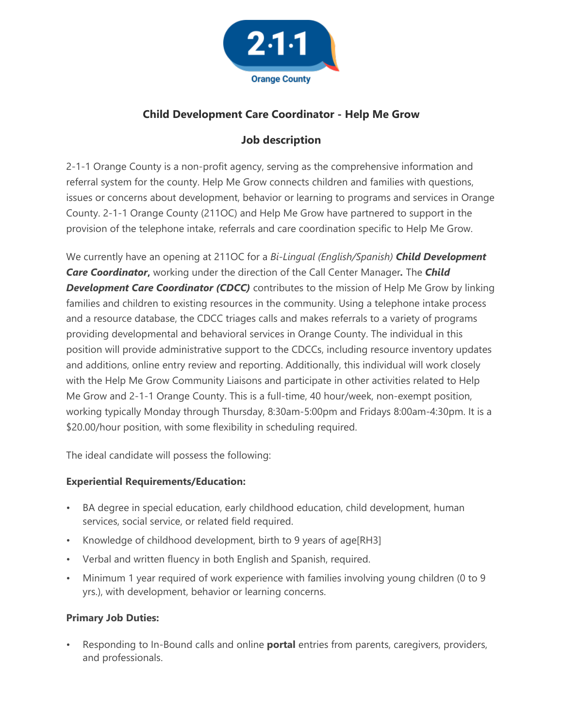

# **Child Development Care Coordinator - Help Me Grow**

## **Job description**

2-1-1 Orange County is a non-profit agency, serving as the comprehensive information and referral system for the county. Help Me Grow connects children and families with questions, issues or concerns about development, behavior or learning to programs and services in Orange County. 2-1-1 Orange County (211OC) and Help Me Grow have partnered to support in the provision of the telephone intake, referrals and care coordination specific to Help Me Grow.

We currently have an opening at 211OC for a *Bi-Lingual (English/Spanish) Child Development Care Coordinator***,** working under the direction of the Call Center Manager*.* The *Child*  **Development Care Coordinator (CDCC)** contributes to the mission of Help Me Grow by linking families and children to existing resources in the community. Using a telephone intake process and a resource database, the CDCC triages calls and makes referrals to a variety of programs providing developmental and behavioral services in Orange County. The individual in this position will provide administrative support to the CDCCs, including resource inventory updates and additions, online entry review and reporting. Additionally, this individual will work closely with the Help Me Grow Community Liaisons and participate in other activities related to Help Me Grow and 2-1-1 Orange County. This is a full-time, 40 hour/week, non-exempt position, working typically Monday through Thursday, 8:30am-5:00pm and Fridays 8:00am-4:30pm. It is a \$20.00/hour position, with some flexibility in scheduling required.

The ideal candidate will possess the following:

### **Experiential Requirements/Education:**

- BA degree in special education, early childhood education, child development, human services, social service, or related field required.
- Knowledge of childhood development, birth to 9 years of age[RH3]
- Verbal and written fluency in both English and Spanish, required.
- Minimum 1 year required of work experience with families involving young children (0 to 9 yrs.), with development, behavior or learning concerns.

### **Primary Job Duties:**

• Responding to In-Bound calls and online **portal** entries from parents, caregivers, providers, and professionals.